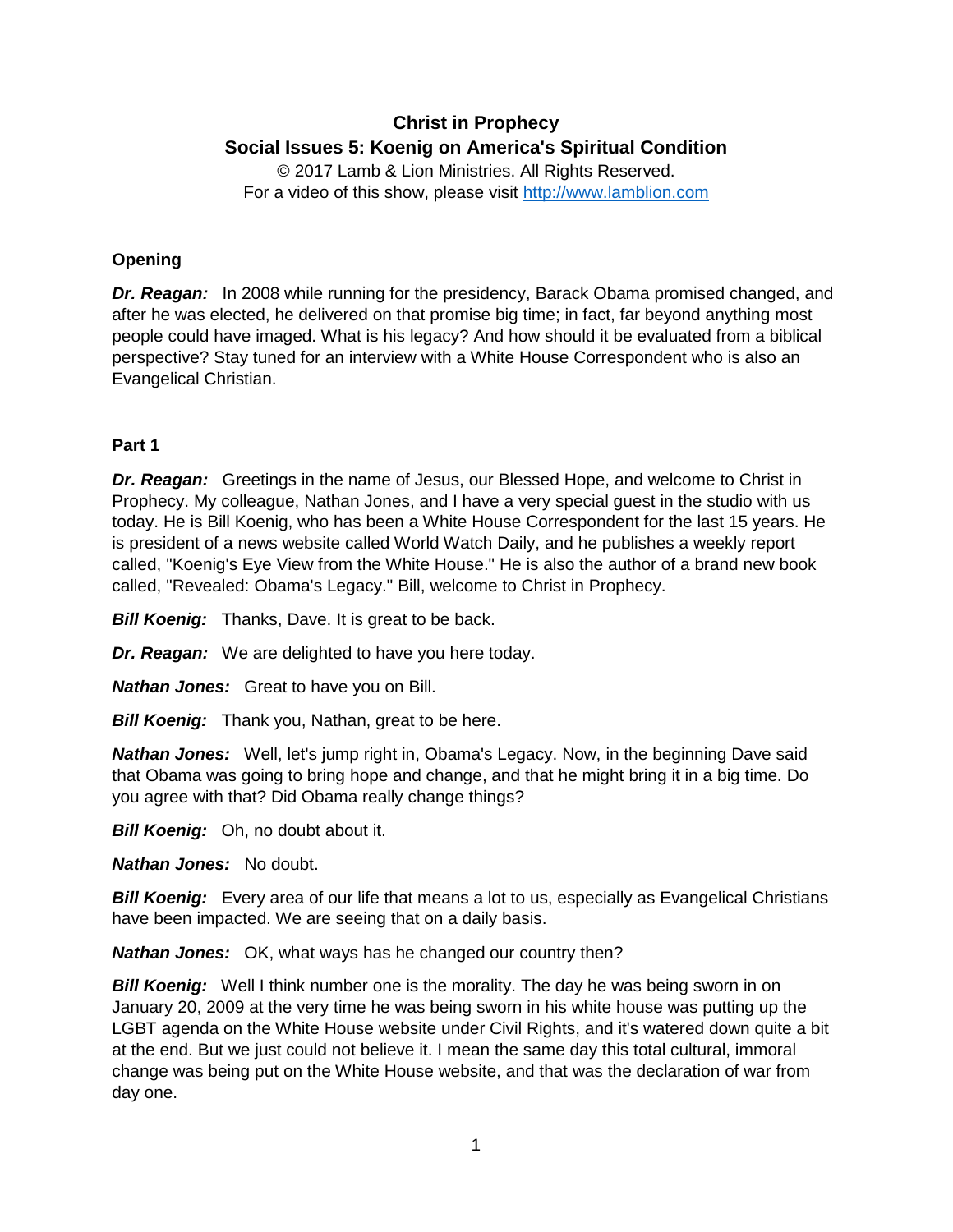# **Christ in Prophecy Social Issues 5: Koenig on America's Spiritual Condition**

© 2017 Lamb & Lion Ministries. All Rights Reserved. For a video of this show, please visit [http://www.lamblion.com](http://www.lamblion.com/)

# **Opening**

*Dr. Reagan:* In 2008 while running for the presidency, Barack Obama promised changed, and after he was elected, he delivered on that promise big time; in fact, far beyond anything most people could have imaged. What is his legacy? And how should it be evaluated from a biblical perspective? Stay tuned for an interview with a White House Correspondent who is also an Evangelical Christian.

### **Part 1**

*Dr. Reagan:* Greetings in the name of Jesus, our Blessed Hope, and welcome to Christ in Prophecy. My colleague, Nathan Jones, and I have a very special guest in the studio with us today. He is Bill Koenig, who has been a White House Correspondent for the last 15 years. He is president of a news website called World Watch Daily, and he publishes a weekly report called, "Koenig's Eye View from the White House." He is also the author of a brand new book called, "Revealed: Obama's Legacy." Bill, welcome to Christ in Prophecy.

*Bill Koenig:* Thanks, Dave. It is great to be back.

*Dr. Reagan:* We are delighted to have you here today.

*Nathan Jones:* Great to have you on Bill.

*Bill Koenig:* Thank you, Nathan, great to be here.

*Nathan Jones:* Well, let's jump right in, Obama's Legacy. Now, in the beginning Dave said that Obama was going to bring hope and change, and that he might bring it in a big time. Do you agree with that? Did Obama really change things?

*Bill Koenig:* Oh, no doubt about it.

*Nathan Jones:* No doubt.

**Bill Koenig:** Every area of our life that means a lot to us, especially as Evangelical Christians have been impacted. We are seeing that on a daily basis.

*Nathan Jones:* OK, what ways has he changed our country then?

*Bill Koenig:* Well I think number one is the morality. The day he was being sworn in on January 20, 2009 at the very time he was being sworn in his white house was putting up the LGBT agenda on the White House website under Civil Rights, and it's watered down quite a bit at the end. But we just could not believe it. I mean the same day this total cultural, immoral change was being put on the White House website, and that was the declaration of war from day one.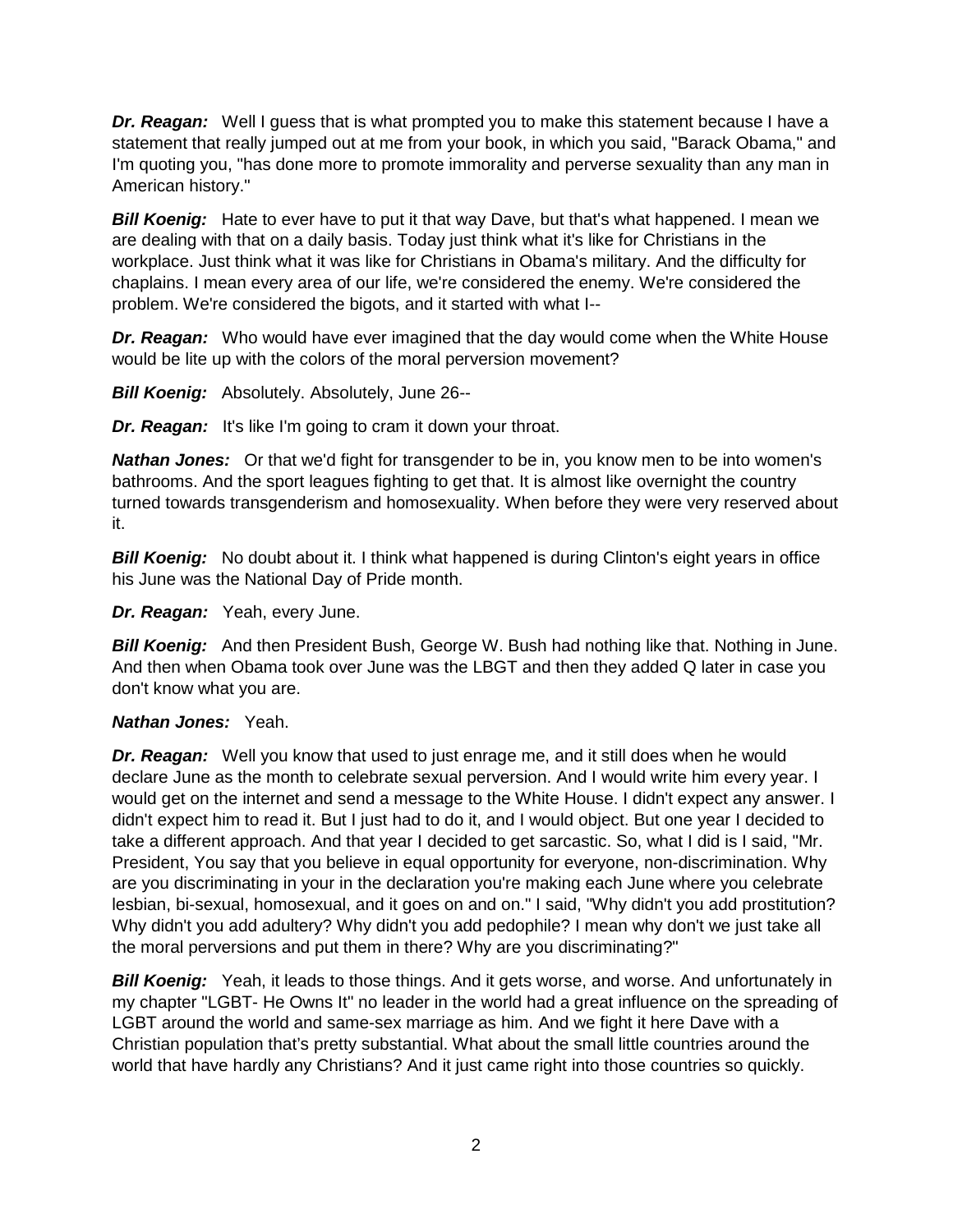*Dr. Reagan:* Well I guess that is what prompted you to make this statement because I have a statement that really jumped out at me from your book, in which you said, "Barack Obama," and I'm quoting you, "has done more to promote immorality and perverse sexuality than any man in American history."

**Bill Koenig:** Hate to ever have to put it that way Dave, but that's what happened. I mean we are dealing with that on a daily basis. Today just think what it's like for Christians in the workplace. Just think what it was like for Christians in Obama's military. And the difficulty for chaplains. I mean every area of our life, we're considered the enemy. We're considered the problem. We're considered the bigots, and it started with what I--

*Dr. Reagan:* Who would have ever imagined that the day would come when the White House would be lite up with the colors of the moral perversion movement?

*Bill Koenig:* Absolutely. Absolutely, June 26--

**Dr. Reagan:** It's like I'm going to cram it down your throat.

*Nathan Jones:* Or that we'd fight for transgender to be in, you know men to be into women's bathrooms. And the sport leagues fighting to get that. It is almost like overnight the country turned towards transgenderism and homosexuality. When before they were very reserved about it.

**Bill Koenig:** No doubt about it. I think what happened is during Clinton's eight years in office his June was the National Day of Pride month.

*Dr. Reagan:* Yeah, every June.

**Bill Koenig:** And then President Bush, George W. Bush had nothing like that. Nothing in June. And then when Obama took over June was the LBGT and then they added Q later in case you don't know what you are.

# *Nathan Jones:* Yeah.

*Dr. Reagan:* Well you know that used to just enrage me, and it still does when he would declare June as the month to celebrate sexual perversion. And I would write him every year. I would get on the internet and send a message to the White House. I didn't expect any answer. I didn't expect him to read it. But I just had to do it, and I would object. But one year I decided to take a different approach. And that year I decided to get sarcastic. So, what I did is I said, "Mr. President, You say that you believe in equal opportunity for everyone, non-discrimination. Why are you discriminating in your in the declaration you're making each June where you celebrate lesbian, bi-sexual, homosexual, and it goes on and on." I said, "Why didn't you add prostitution? Why didn't you add adultery? Why didn't you add pedophile? I mean why don't we just take all the moral perversions and put them in there? Why are you discriminating?"

**Bill Koenig:** Yeah, it leads to those things. And it gets worse, and worse. And unfortunately in my chapter "LGBT- He Owns It" no leader in the world had a great influence on the spreading of LGBT around the world and same-sex marriage as him. And we fight it here Dave with a Christian population that's pretty substantial. What about the small little countries around the world that have hardly any Christians? And it just came right into those countries so quickly.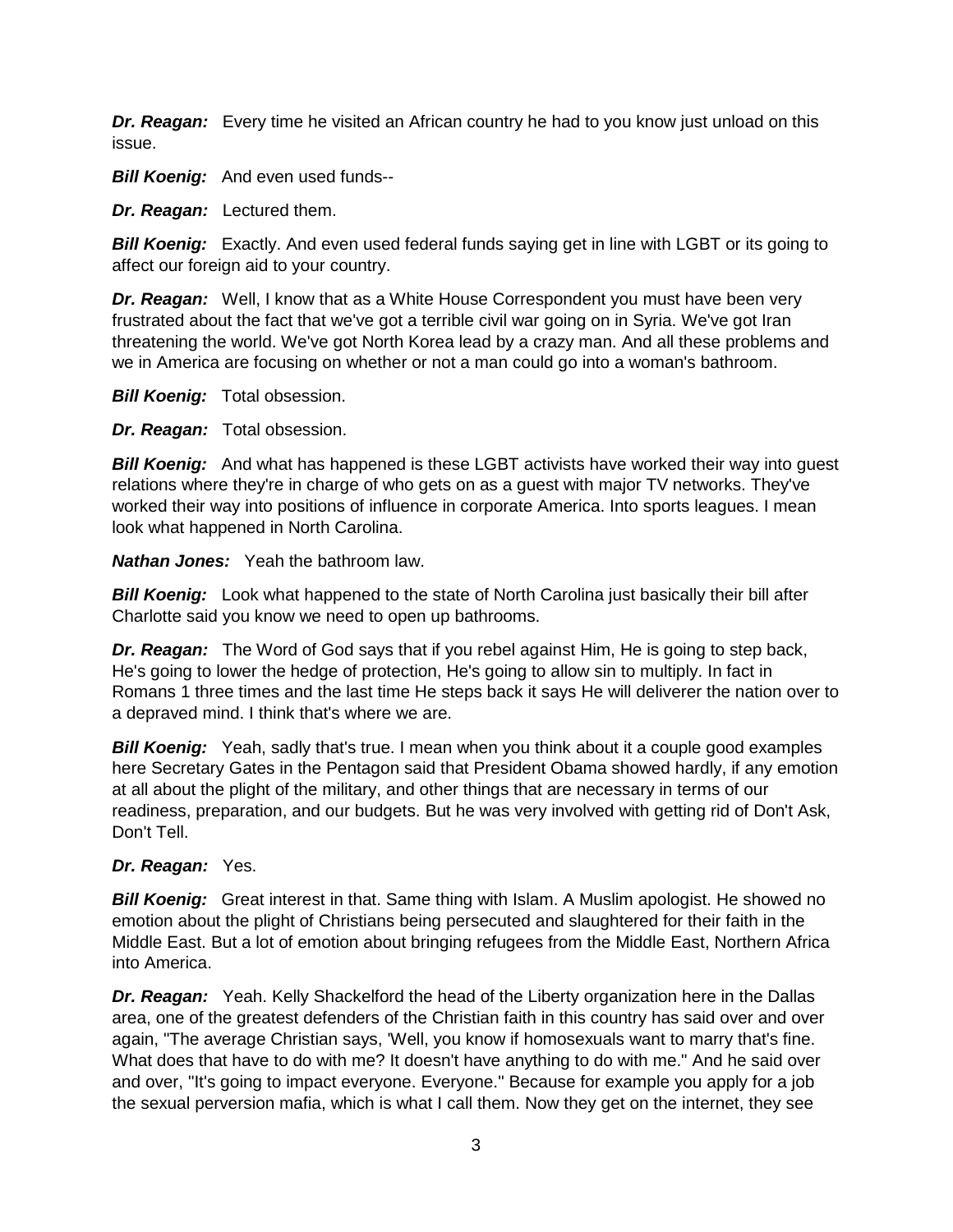*Dr. Reagan:* Every time he visited an African country he had to you know just unload on this issue.

**Bill Koenig:** And even used funds--

*Dr. Reagan:* Lectured them.

**Bill Koenig:** Exactly. And even used federal funds saying get in line with LGBT or its going to affect our foreign aid to your country.

*Dr. Reagan:* Well, I know that as a White House Correspondent you must have been very frustrated about the fact that we've got a terrible civil war going on in Syria. We've got Iran threatening the world. We've got North Korea lead by a crazy man. And all these problems and we in America are focusing on whether or not a man could go into a woman's bathroom.

*Bill Koenig:* Total obsession.

*Dr. Reagan:* Total obsession.

**Bill Koenig:** And what has happened is these LGBT activists have worked their way into guest relations where they're in charge of who gets on as a guest with major TV networks. They've worked their way into positions of influence in corporate America. Into sports leagues. I mean look what happened in North Carolina.

*Nathan Jones:* Yeah the bathroom law.

*Bill Koenig:* Look what happened to the state of North Carolina just basically their bill after Charlotte said you know we need to open up bathrooms.

*Dr. Reagan:* The Word of God says that if you rebel against Him, He is going to step back, He's going to lower the hedge of protection, He's going to allow sin to multiply. In fact in Romans 1 three times and the last time He steps back it says He will deliverer the nation over to a depraved mind. I think that's where we are.

**Bill Koenig:** Yeah, sadly that's true. I mean when you think about it a couple good examples here Secretary Gates in the Pentagon said that President Obama showed hardly, if any emotion at all about the plight of the military, and other things that are necessary in terms of our readiness, preparation, and our budgets. But he was very involved with getting rid of Don't Ask, Don't Tell.

### *Dr. Reagan:* Yes.

**Bill Koenig:** Great interest in that. Same thing with Islam. A Muslim apologist. He showed no emotion about the plight of Christians being persecuted and slaughtered for their faith in the Middle East. But a lot of emotion about bringing refugees from the Middle East, Northern Africa into America.

*Dr. Reagan:* Yeah. Kelly Shackelford the head of the Liberty organization here in the Dallas area, one of the greatest defenders of the Christian faith in this country has said over and over again, "The average Christian says, 'Well, you know if homosexuals want to marry that's fine. What does that have to do with me? It doesn't have anything to do with me." And he said over and over, "It's going to impact everyone. Everyone." Because for example you apply for a job the sexual perversion mafia, which is what I call them. Now they get on the internet, they see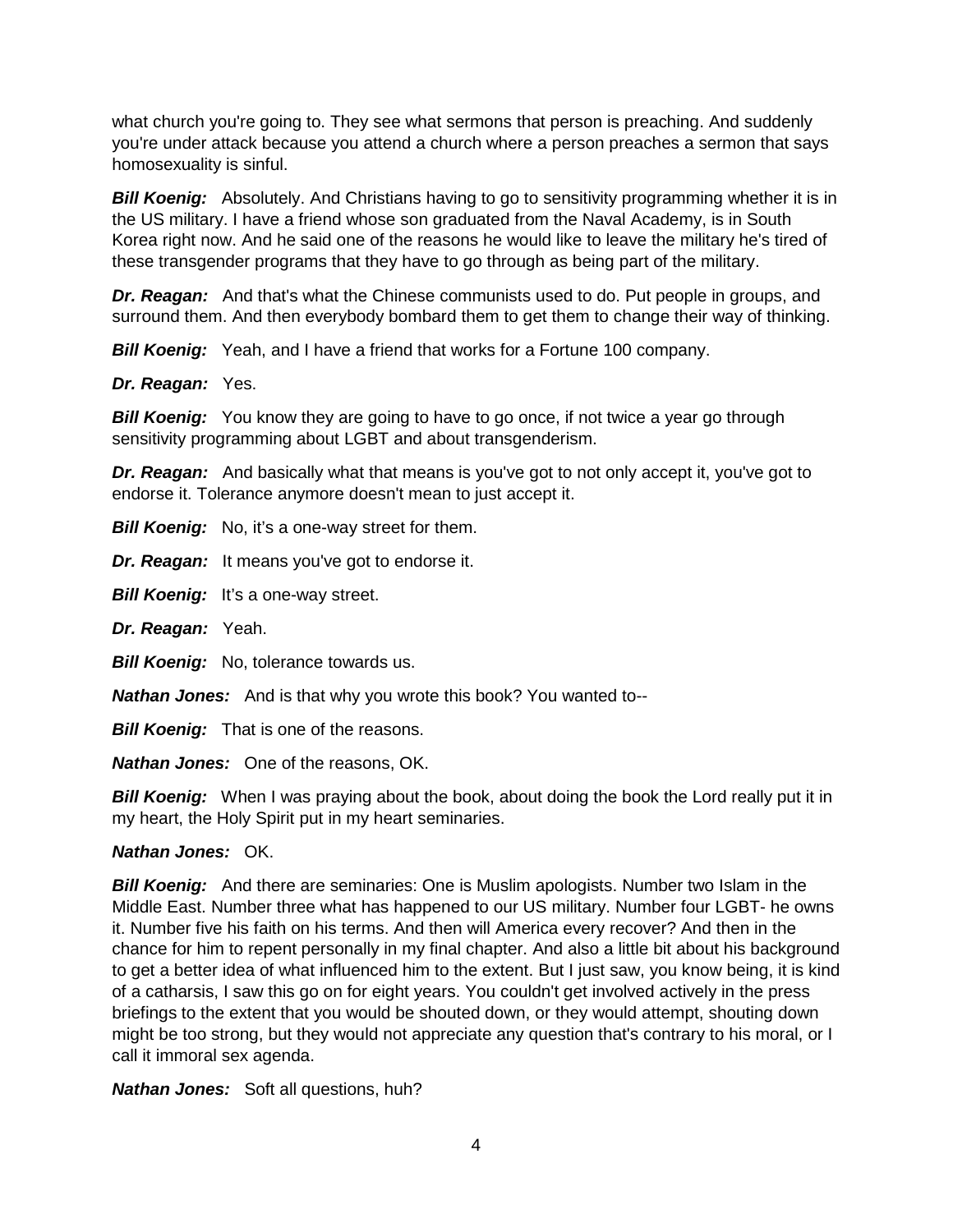what church you're going to. They see what sermons that person is preaching. And suddenly you're under attack because you attend a church where a person preaches a sermon that says homosexuality is sinful.

**Bill Koenig:** Absolutely. And Christians having to go to sensitivity programming whether it is in the US military. I have a friend whose son graduated from the Naval Academy, is in South Korea right now. And he said one of the reasons he would like to leave the military he's tired of these transgender programs that they have to go through as being part of the military.

*Dr. Reagan:* And that's what the Chinese communists used to do. Put people in groups, and surround them. And then everybody bombard them to get them to change their way of thinking.

**Bill Koenig:** Yeah, and I have a friend that works for a Fortune 100 company.

*Dr. Reagan:* Yes.

*Bill Koenig:* You know they are going to have to go once, if not twice a year go through sensitivity programming about LGBT and about transgenderism.

*Dr. Reagan:* And basically what that means is you've got to not only accept it, you've got to endorse it. Tolerance anymore doesn't mean to just accept it.

*Bill Koenig:* No, it's a one-way street for them.

*Dr. Reagan:* It means you've got to endorse it.

*Bill Koenig:* It's a one-way street.

*Dr. Reagan:* Yeah.

*Bill Koenig:* No, tolerance towards us.

*Nathan Jones:* And is that why you wrote this book? You wanted to--

**Bill Koenig:** That is one of the reasons.

*Nathan Jones:* One of the reasons, OK.

**Bill Koenig:** When I was praying about the book, about doing the book the Lord really put it in my heart, the Holy Spirit put in my heart seminaries.

#### *Nathan Jones:* OK.

*Bill Koenig:* And there are seminaries: One is Muslim apologists. Number two Islam in the Middle East. Number three what has happened to our US military. Number four LGBT- he owns it. Number five his faith on his terms. And then will America every recover? And then in the chance for him to repent personally in my final chapter. And also a little bit about his background to get a better idea of what influenced him to the extent. But I just saw, you know being, it is kind of a catharsis, I saw this go on for eight years. You couldn't get involved actively in the press briefings to the extent that you would be shouted down, or they would attempt, shouting down might be too strong, but they would not appreciate any question that's contrary to his moral, or I call it immoral sex agenda.

*Nathan Jones:* Soft all questions, huh?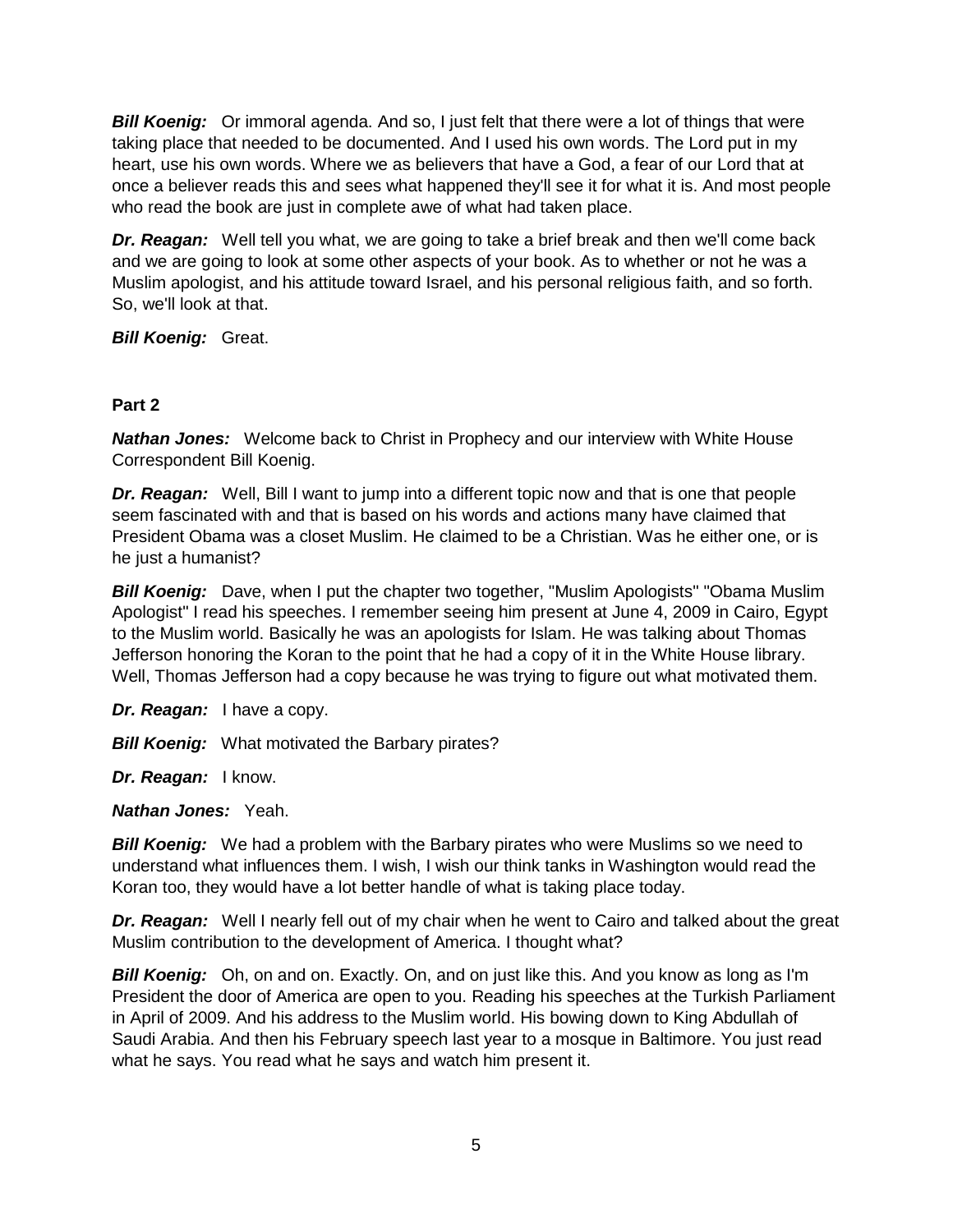**Bill Koenig:** Or immoral agenda. And so, I just felt that there were a lot of things that were taking place that needed to be documented. And I used his own words. The Lord put in my heart, use his own words. Where we as believers that have a God, a fear of our Lord that at once a believer reads this and sees what happened they'll see it for what it is. And most people who read the book are just in complete awe of what had taken place.

*Dr. Reagan:* Well tell you what, we are going to take a brief break and then we'll come back and we are going to look at some other aspects of your book. As to whether or not he was a Muslim apologist, and his attitude toward Israel, and his personal religious faith, and so forth. So, we'll look at that.

*Bill Koenig:* Great.

### **Part 2**

*Nathan Jones:* Welcome back to Christ in Prophecy and our interview with White House Correspondent Bill Koenig.

*Dr. Reagan:* Well, Bill I want to jump into a different topic now and that is one that people seem fascinated with and that is based on his words and actions many have claimed that President Obama was a closet Muslim. He claimed to be a Christian. Was he either one, or is he just a humanist?

*Bill Koenig:* Dave, when I put the chapter two together, "Muslim Apologists" "Obama Muslim Apologist" I read his speeches. I remember seeing him present at June 4, 2009 in Cairo, Egypt to the Muslim world. Basically he was an apologists for Islam. He was talking about Thomas Jefferson honoring the Koran to the point that he had a copy of it in the White House library. Well, Thomas Jefferson had a copy because he was trying to figure out what motivated them.

*Dr. Reagan:* I have a copy.

**Bill Koenig:** What motivated the Barbary pirates?

*Dr. Reagan:* I know.

*Nathan Jones:* Yeah.

**Bill Koenig:** We had a problem with the Barbary pirates who were Muslims so we need to understand what influences them. I wish, I wish our think tanks in Washington would read the Koran too, they would have a lot better handle of what is taking place today.

*Dr. Reagan:* Well I nearly fell out of my chair when he went to Cairo and talked about the great Muslim contribution to the development of America. I thought what?

**Bill Koenig:** Oh, on and on. Exactly. On, and on just like this. And you know as long as I'm President the door of America are open to you. Reading his speeches at the Turkish Parliament in April of 2009. And his address to the Muslim world. His bowing down to King Abdullah of Saudi Arabia. And then his February speech last year to a mosque in Baltimore. You just read what he says. You read what he says and watch him present it.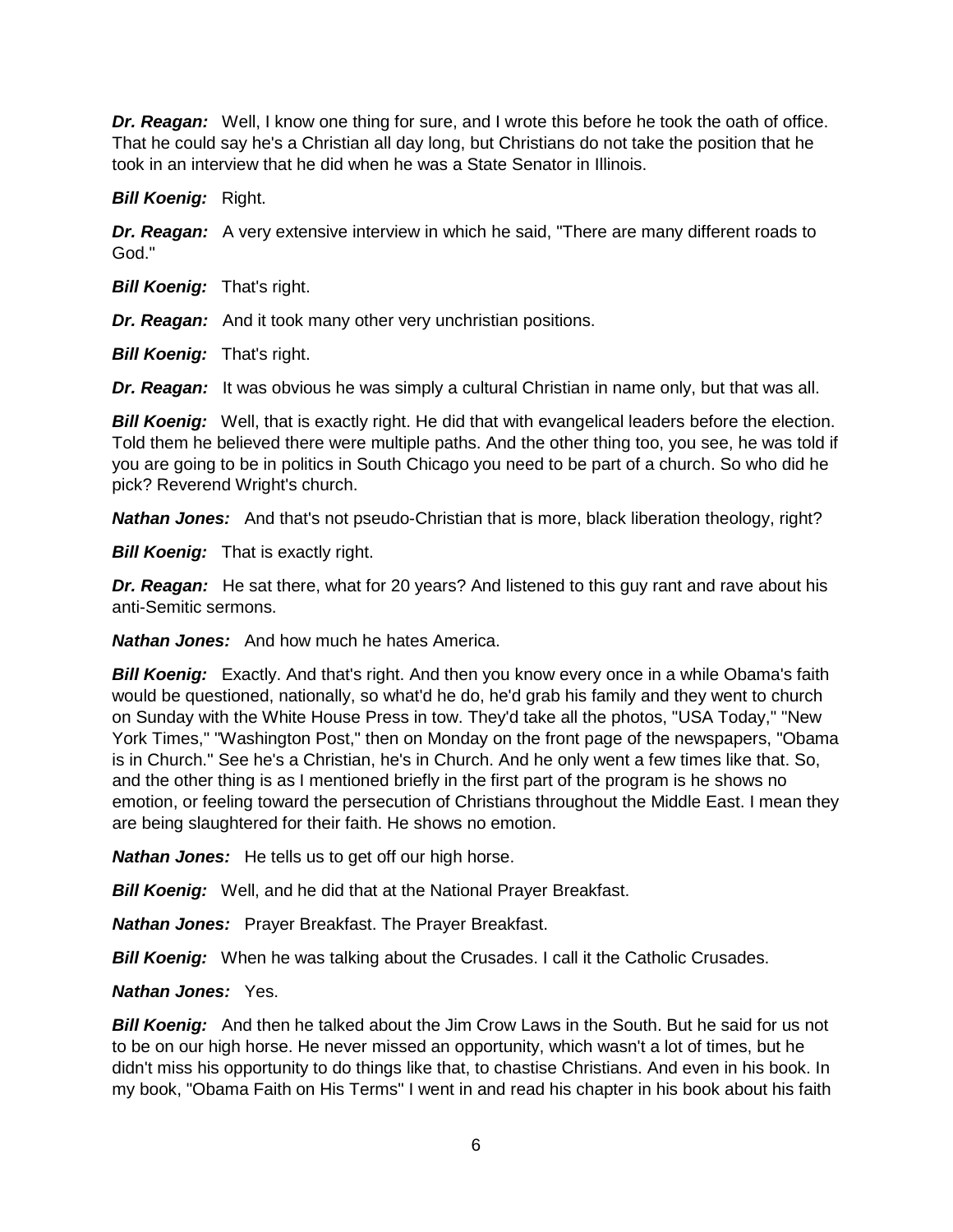*Dr. Reagan:* Well, I know one thing for sure, and I wrote this before he took the oath of office. That he could say he's a Christian all day long, but Christians do not take the position that he took in an interview that he did when he was a State Senator in Illinois.

*Bill Koenig:* Right.

*Dr. Reagan:* A very extensive interview in which he said, "There are many different roads to God."

**Bill Koenig:** That's right.

*Dr. Reagan:* And it took many other very unchristian positions.

*Bill Koenig: That's right.* 

*Dr. Reagan:* It was obvious he was simply a cultural Christian in name only, but that was all.

*Bill Koenig:* Well, that is exactly right. He did that with evangelical leaders before the election. Told them he believed there were multiple paths. And the other thing too, you see, he was told if you are going to be in politics in South Chicago you need to be part of a church. So who did he pick? Reverend Wright's church.

*Nathan Jones:* And that's not pseudo-Christian that is more, black liberation theology, right?

*Bill Koenig:* That is exactly right.

*Dr. Reagan:* He sat there, what for 20 years? And listened to this guy rant and rave about his anti-Semitic sermons.

*Nathan Jones:* And how much he hates America.

**Bill Koenig:** Exactly. And that's right. And then you know every once in a while Obama's faith would be questioned, nationally, so what'd he do, he'd grab his family and they went to church on Sunday with the White House Press in tow. They'd take all the photos, "USA Today," "New York Times," "Washington Post," then on Monday on the front page of the newspapers, "Obama is in Church." See he's a Christian, he's in Church. And he only went a few times like that. So, and the other thing is as I mentioned briefly in the first part of the program is he shows no emotion, or feeling toward the persecution of Christians throughout the Middle East. I mean they are being slaughtered for their faith. He shows no emotion.

*Nathan Jones:* He tells us to get off our high horse.

*Bill Koenig:* Well, and he did that at the National Prayer Breakfast.

*Nathan Jones:* Prayer Breakfast. The Prayer Breakfast.

**Bill Koenig:** When he was talking about the Crusades. I call it the Catholic Crusades.

#### *Nathan Jones:* Yes.

**Bill Koenig:** And then he talked about the Jim Crow Laws in the South. But he said for us not to be on our high horse. He never missed an opportunity, which wasn't a lot of times, but he didn't miss his opportunity to do things like that, to chastise Christians. And even in his book. In my book, "Obama Faith on His Terms" I went in and read his chapter in his book about his faith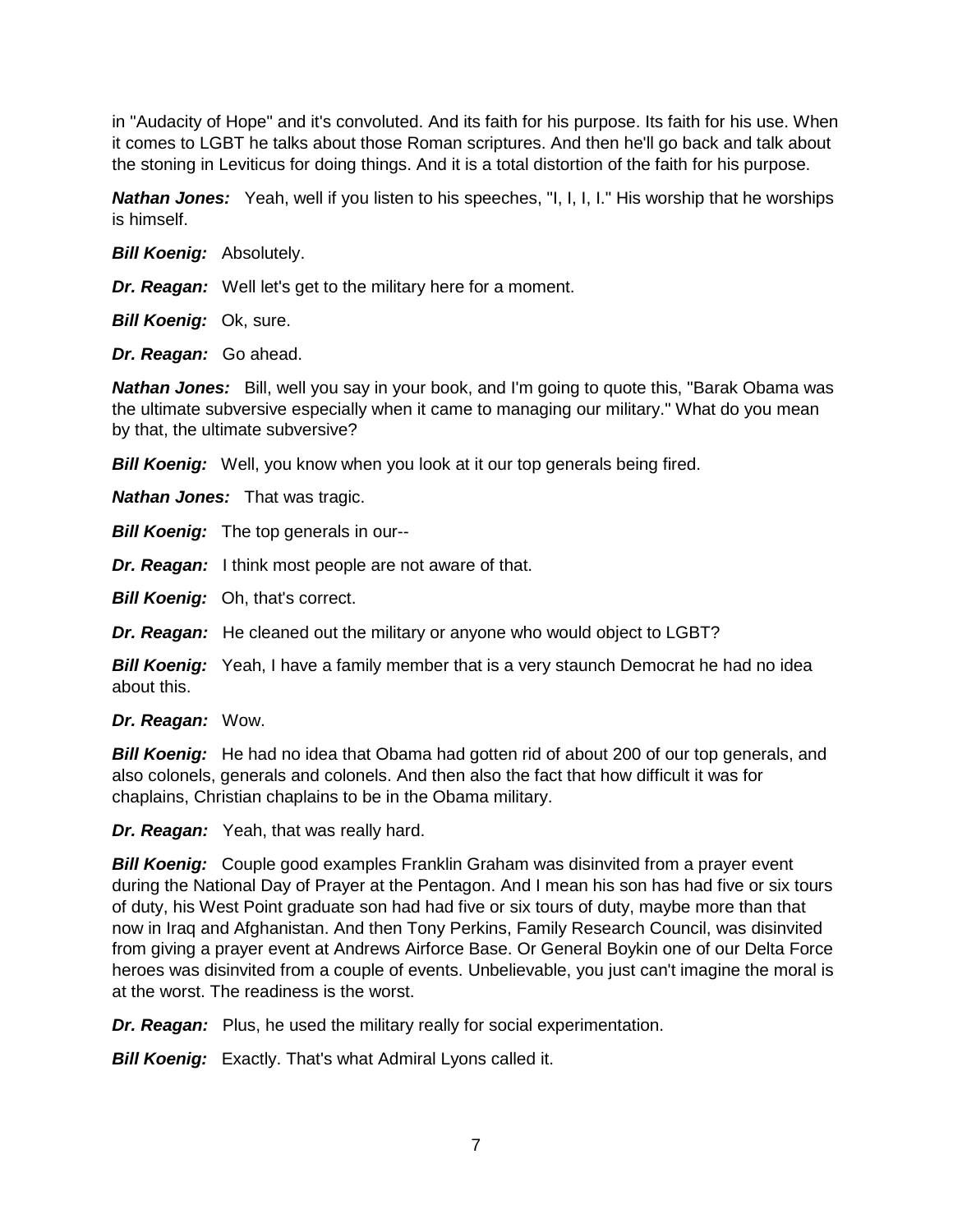in "Audacity of Hope" and it's convoluted. And its faith for his purpose. Its faith for his use. When it comes to LGBT he talks about those Roman scriptures. And then he'll go back and talk about the stoning in Leviticus for doing things. And it is a total distortion of the faith for his purpose.

*Nathan Jones:* Yeah, well if you listen to his speeches, "I, I, I, I." His worship that he worships is himself.

*Bill Koenig:* Absolutely.

*Dr. Reagan:* Well let's get to the military here for a moment.

*Bill Koenig:* Ok, sure.

*Dr. Reagan:* Go ahead.

*Nathan Jones:* Bill, well you say in your book, and I'm going to quote this, "Barak Obama was the ultimate subversive especially when it came to managing our military." What do you mean by that, the ultimate subversive?

*Bill Koenig:* Well, you know when you look at it our top generals being fired.

*Nathan Jones:* That was tragic.

**Bill Koenig:** The top generals in our--

*Dr. Reagan:* I think most people are not aware of that.

**Bill Koenig:** Oh, that's correct.

*Dr. Reagan:* He cleaned out the military or anyone who would object to LGBT?

**Bill Koenig:** Yeah, I have a family member that is a very staunch Democrat he had no idea about this.

*Dr. Reagan:* Wow.

*Bill Koenig:* He had no idea that Obama had gotten rid of about 200 of our top generals, and also colonels, generals and colonels. And then also the fact that how difficult it was for chaplains, Christian chaplains to be in the Obama military.

*Dr. Reagan:* Yeah, that was really hard.

**Bill Koenig:** Couple good examples Franklin Graham was disinvited from a prayer event during the National Day of Prayer at the Pentagon. And I mean his son has had five or six tours of duty, his West Point graduate son had had five or six tours of duty, maybe more than that now in Iraq and Afghanistan. And then Tony Perkins, Family Research Council, was disinvited from giving a prayer event at Andrews Airforce Base. Or General Boykin one of our Delta Force heroes was disinvited from a couple of events. Unbelievable, you just can't imagine the moral is at the worst. The readiness is the worst.

*Dr. Reagan:* Plus, he used the military really for social experimentation.

*Bill Koenig:* Exactly. That's what Admiral Lyons called it.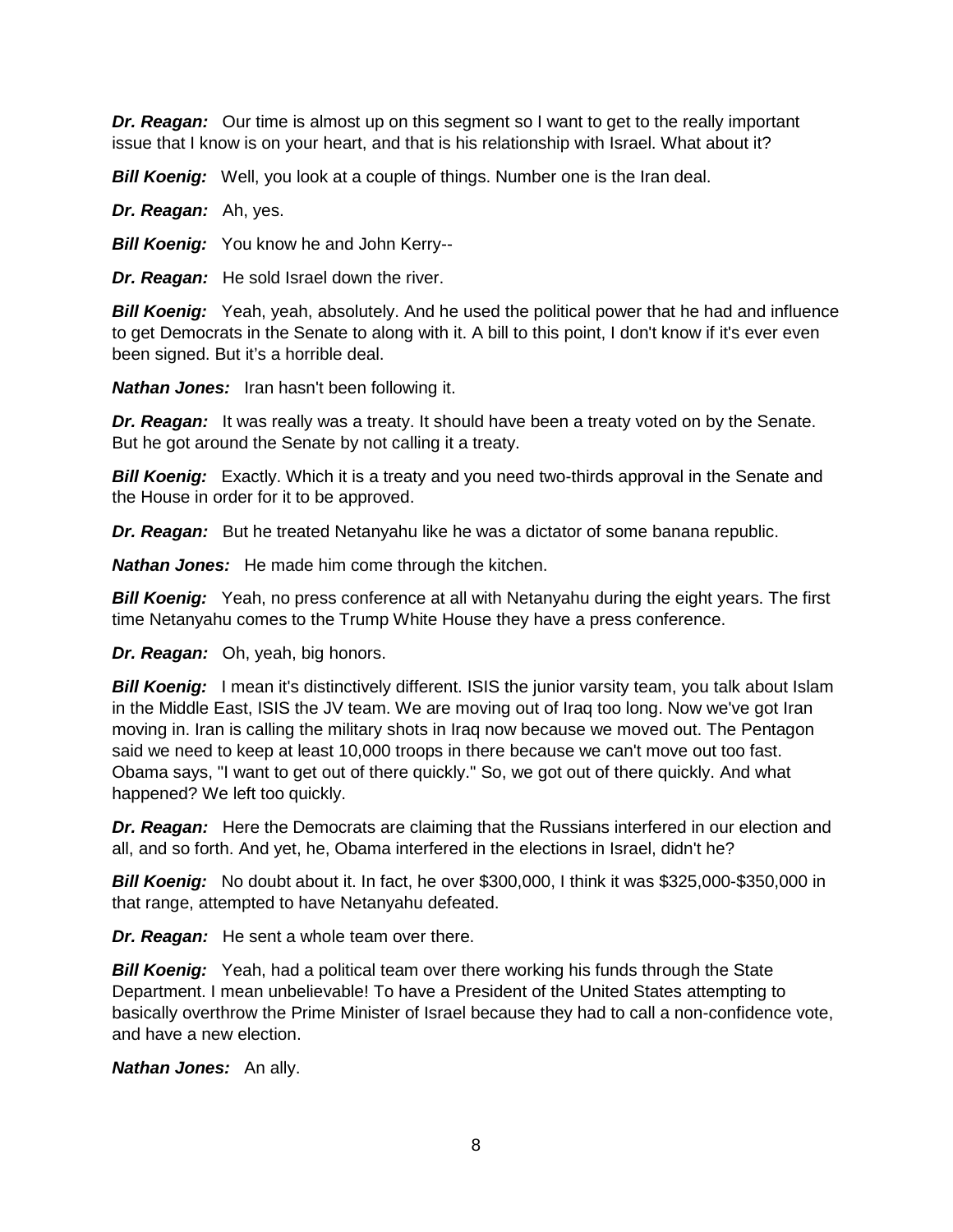*Dr. Reagan:* Our time is almost up on this segment so I want to get to the really important issue that I know is on your heart, and that is his relationship with Israel. What about it?

*Bill Koenig:* Well, you look at a couple of things. Number one is the Iran deal.

*Dr. Reagan:* Ah, yes.

*Bill Koenig:* You know he and John Kerry--

*Dr. Reagan:* He sold Israel down the river.

**Bill Koenig:** Yeah, yeah, absolutely. And he used the political power that he had and influence to get Democrats in the Senate to along with it. A bill to this point, I don't know if it's ever even been signed. But it's a horrible deal.

*Nathan Jones:* Iran hasn't been following it.

*Dr. Reagan:* It was really was a treaty. It should have been a treaty voted on by the Senate. But he got around the Senate by not calling it a treaty.

*Bill Koenig:* Exactly. Which it is a treaty and you need two-thirds approval in the Senate and the House in order for it to be approved.

*Dr. Reagan:* But he treated Netanyahu like he was a dictator of some banana republic.

*Nathan Jones:* He made him come through the kitchen.

**Bill Koenig:** Yeah, no press conference at all with Netanyahu during the eight years. The first time Netanyahu comes to the Trump White House they have a press conference.

*Dr. Reagan:* Oh, yeah, big honors.

**Bill Koenig:** I mean it's distinctively different. ISIS the junior varsity team, you talk about Islam in the Middle East, ISIS the JV team. We are moving out of Iraq too long. Now we've got Iran moving in. Iran is calling the military shots in Iraq now because we moved out. The Pentagon said we need to keep at least 10,000 troops in there because we can't move out too fast. Obama says, "I want to get out of there quickly." So, we got out of there quickly. And what happened? We left too quickly.

*Dr. Reagan:* Here the Democrats are claiming that the Russians interfered in our election and all, and so forth. And yet, he, Obama interfered in the elections in Israel, didn't he?

*Bill Koenig:* No doubt about it. In fact, he over \$300,000, I think it was \$325,000-\$350,000 in that range, attempted to have Netanyahu defeated.

*Dr. Reagan:* He sent a whole team over there.

*Bill Koenig:* Yeah, had a political team over there working his funds through the State Department. I mean unbelievable! To have a President of the United States attempting to basically overthrow the Prime Minister of Israel because they had to call a non-confidence vote, and have a new election.

*Nathan Jones:* An ally.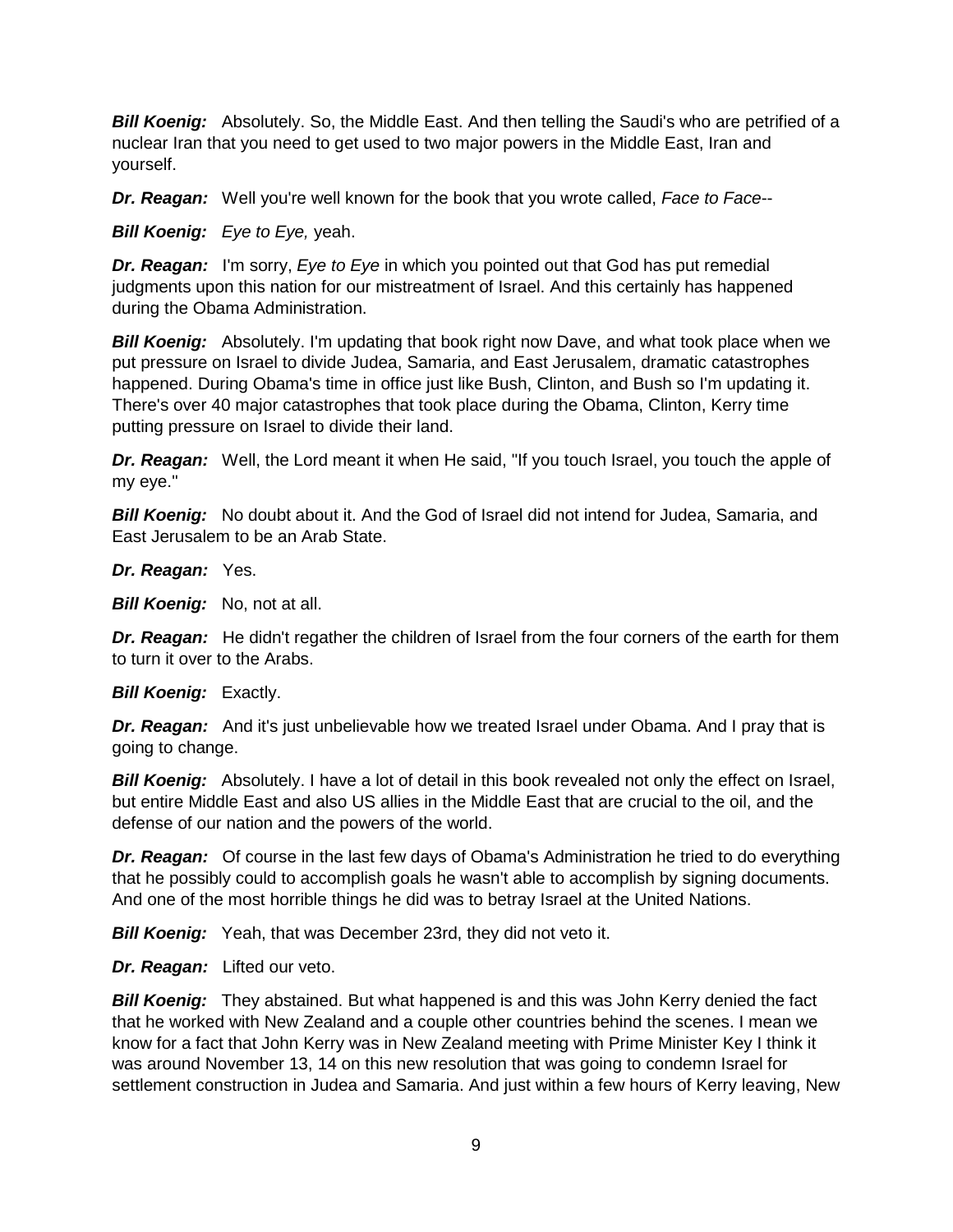**Bill Koenig:** Absolutely. So, the Middle East. And then telling the Saudi's who are petrified of a nuclear Iran that you need to get used to two major powers in the Middle East, Iran and yourself.

*Dr. Reagan:* Well you're well known for the book that you wrote called, *Face to Face*--

*Bill Koenig: Eye to Eye,* yeah.

*Dr. Reagan:* I'm sorry, *Eye to Eye* in which you pointed out that God has put remedial judgments upon this nation for our mistreatment of Israel. And this certainly has happened during the Obama Administration.

**Bill Koenig:** Absolutely. I'm updating that book right now Dave, and what took place when we put pressure on Israel to divide Judea, Samaria, and East Jerusalem, dramatic catastrophes happened. During Obama's time in office just like Bush, Clinton, and Bush so I'm updating it. There's over 40 major catastrophes that took place during the Obama, Clinton, Kerry time putting pressure on Israel to divide their land.

**Dr. Reagan:** Well, the Lord meant it when He said, "If you touch Israel, you touch the apple of my eye."

*Bill Koenig:* No doubt about it. And the God of Israel did not intend for Judea, Samaria, and East Jerusalem to be an Arab State.

*Dr. Reagan:* Yes.

*Bill Koenig:* No, not at all.

*Dr. Reagan:* He didn't regather the children of Israel from the four corners of the earth for them to turn it over to the Arabs.

**Bill Koenig: Exactly.** 

**Dr. Reagan:** And it's just unbelievable how we treated Israel under Obama. And I pray that is going to change.

*Bill Koenig:* Absolutely. I have a lot of detail in this book revealed not only the effect on Israel, but entire Middle East and also US allies in the Middle East that are crucial to the oil, and the defense of our nation and the powers of the world.

*Dr. Reagan:* Of course in the last few days of Obama's Administration he tried to do everything that he possibly could to accomplish goals he wasn't able to accomplish by signing documents. And one of the most horrible things he did was to betray Israel at the United Nations.

**Bill Koenig:** Yeah, that was December 23rd, they did not veto it.

*Dr. Reagan:* Lifted our veto.

**Bill Koenig:** They abstained. But what happened is and this was John Kerry denied the fact that he worked with New Zealand and a couple other countries behind the scenes. I mean we know for a fact that John Kerry was in New Zealand meeting with Prime Minister Key I think it was around November 13, 14 on this new resolution that was going to condemn Israel for settlement construction in Judea and Samaria. And just within a few hours of Kerry leaving, New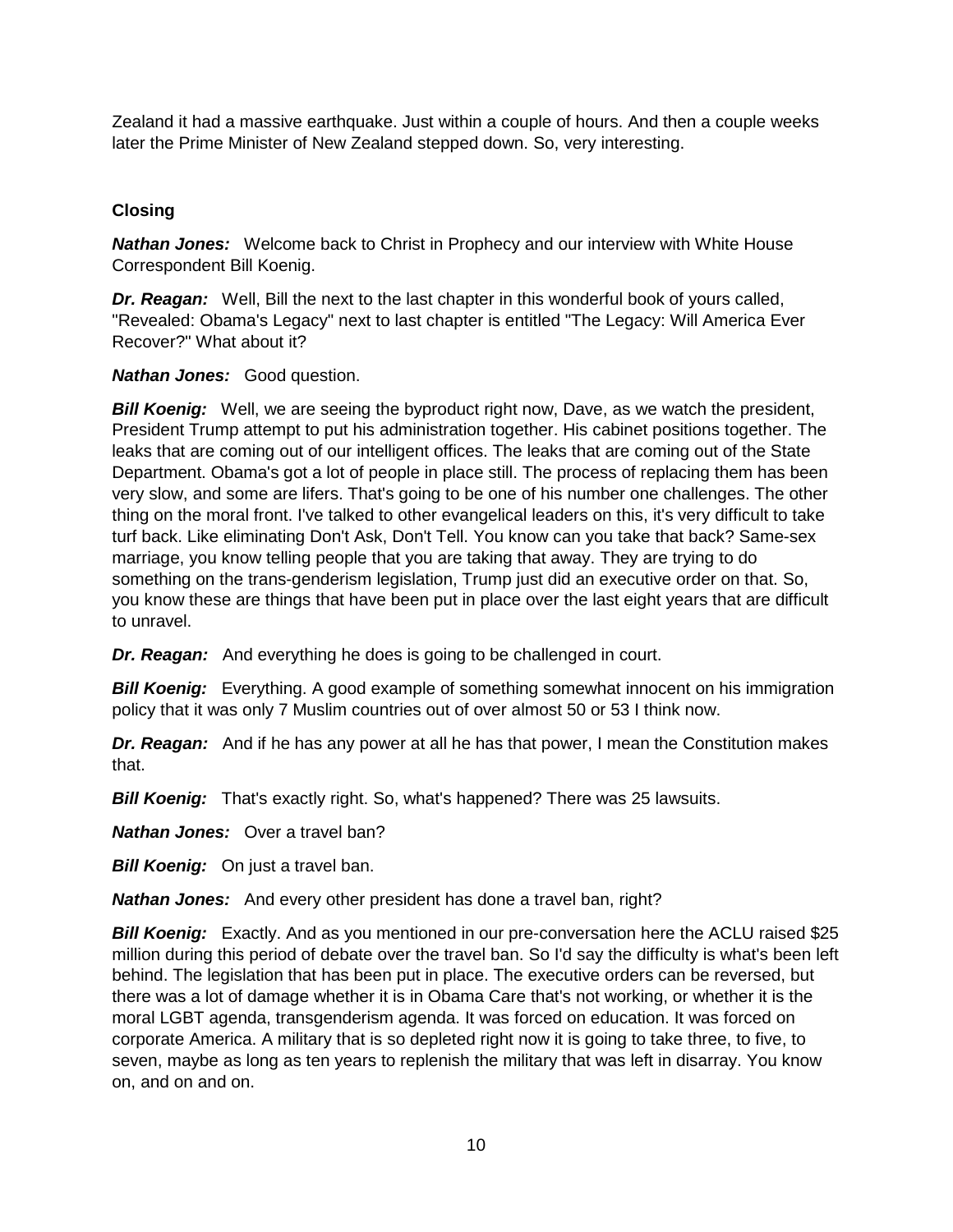Zealand it had a massive earthquake. Just within a couple of hours. And then a couple weeks later the Prime Minister of New Zealand stepped down. So, very interesting.

# **Closing**

*Nathan Jones:* Welcome back to Christ in Prophecy and our interview with White House Correspondent Bill Koenig.

*Dr. Reagan:* Well, Bill the next to the last chapter in this wonderful book of yours called, "Revealed: Obama's Legacy" next to last chapter is entitled "The Legacy: Will America Ever Recover?" What about it?

*Nathan Jones:* Good question.

*Bill Koenig:* Well, we are seeing the byproduct right now, Dave, as we watch the president, President Trump attempt to put his administration together. His cabinet positions together. The leaks that are coming out of our intelligent offices. The leaks that are coming out of the State Department. Obama's got a lot of people in place still. The process of replacing them has been very slow, and some are lifers. That's going to be one of his number one challenges. The other thing on the moral front. I've talked to other evangelical leaders on this, it's very difficult to take turf back. Like eliminating Don't Ask, Don't Tell. You know can you take that back? Same-sex marriage, you know telling people that you are taking that away. They are trying to do something on the trans-genderism legislation, Trump just did an executive order on that. So, you know these are things that have been put in place over the last eight years that are difficult to unravel.

*Dr. Reagan:* And everything he does is going to be challenged in court.

*Bill Koenig:* Everything. A good example of something somewhat innocent on his immigration policy that it was only 7 Muslim countries out of over almost 50 or 53 I think now.

**Dr. Reagan:** And if he has any power at all he has that power, I mean the Constitution makes that.

*Bill Koenig:* That's exactly right. So, what's happened? There was 25 lawsuits.

*Nathan Jones:* Over a travel ban?

*Bill Koenig:* On just a travel ban.

*Nathan Jones:* And every other president has done a travel ban, right?

**Bill Koenig:** Exactly. And as you mentioned in our pre-conversation here the ACLU raised \$25 million during this period of debate over the travel ban. So I'd say the difficulty is what's been left behind. The legislation that has been put in place. The executive orders can be reversed, but there was a lot of damage whether it is in Obama Care that's not working, or whether it is the moral LGBT agenda, transgenderism agenda. It was forced on education. It was forced on corporate America. A military that is so depleted right now it is going to take three, to five, to seven, maybe as long as ten years to replenish the military that was left in disarray. You know on, and on and on.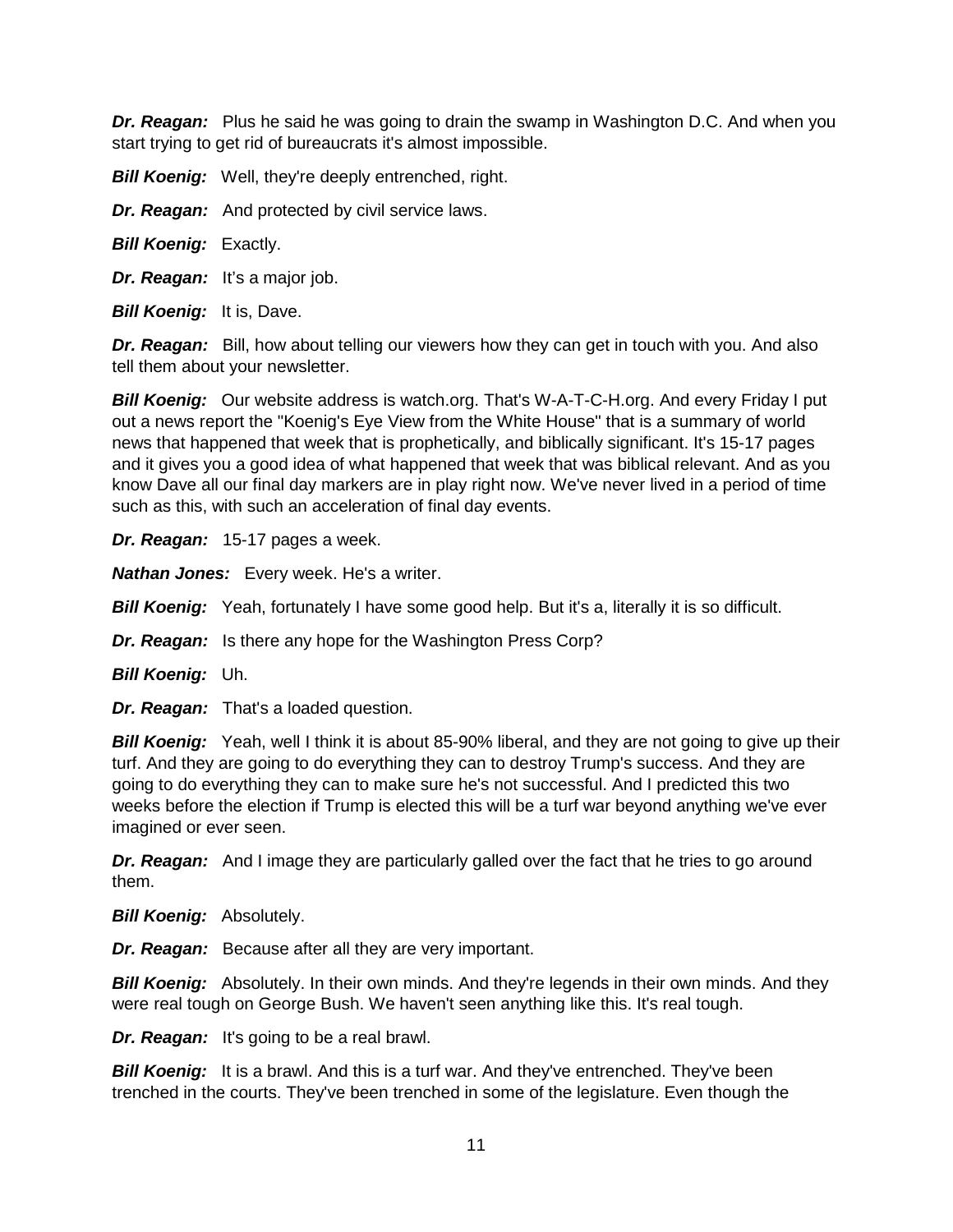*Dr. Reagan:* Plus he said he was going to drain the swamp in Washington D.C. And when you start trying to get rid of bureaucrats it's almost impossible.

**Bill Koenig:** Well, they're deeply entrenched, right.

*Dr. Reagan:* And protected by civil service laws.

*Bill Koenig:* Exactly.

*Dr. Reagan:* It's a major job.

*Bill Koenig:* It is, Dave.

*Dr. Reagan:* Bill, how about telling our viewers how they can get in touch with you. And also tell them about your newsletter.

*Bill Koenig:* Our website address is watch.org. That's W-A-T-C-H.org. And every Friday I put out a news report the "Koenig's Eye View from the White House" that is a summary of world news that happened that week that is prophetically, and biblically significant. It's 15-17 pages and it gives you a good idea of what happened that week that was biblical relevant. And as you know Dave all our final day markers are in play right now. We've never lived in a period of time such as this, with such an acceleration of final day events.

*Dr. Reagan:* 15-17 pages a week.

*Nathan Jones:* Every week. He's a writer.

**Bill Koenig:** Yeah, fortunately I have some good help. But it's a, literally it is so difficult.

*Dr. Reagan:* Is there any hope for the Washington Press Corp?

*Bill Koenig:* Uh.

*Dr. Reagan:* That's a loaded question.

*Bill Koenig:* Yeah, well I think it is about 85-90% liberal, and they are not going to give up their turf. And they are going to do everything they can to destroy Trump's success. And they are going to do everything they can to make sure he's not successful. And I predicted this two weeks before the election if Trump is elected this will be a turf war beyond anything we've ever imagined or ever seen.

*Dr. Reagan:* And I image they are particularly galled over the fact that he tries to go around them.

*Bill Koenig:* Absolutely.

*Dr. Reagan:* Because after all they are very important.

**Bill Koenig:** Absolutely. In their own minds. And they're legends in their own minds. And they were real tough on George Bush. We haven't seen anything like this. It's real tough.

*Dr. Reagan:* It's going to be a real brawl.

**Bill Koenig:** It is a brawl. And this is a turf war. And they've entrenched. They've been trenched in the courts. They've been trenched in some of the legislature. Even though the